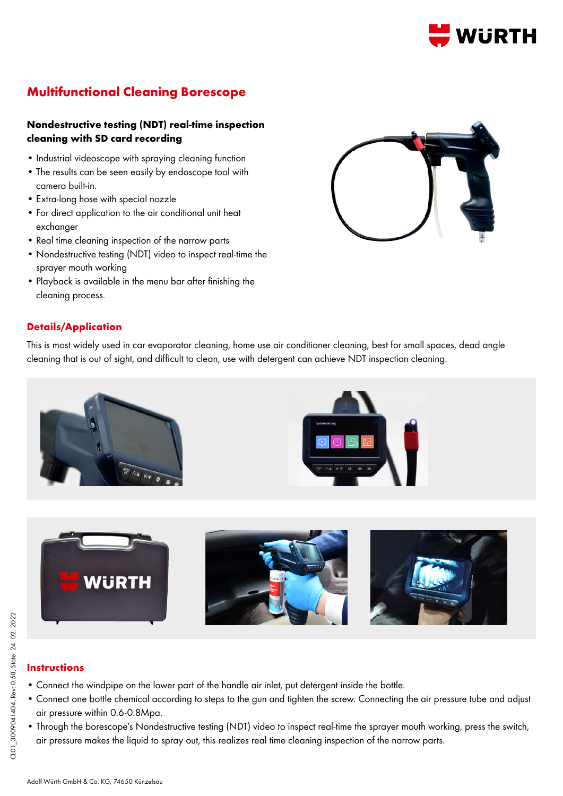

# **Multifunctional Cleaning Borescope**

#### **Nondestructive testing (NDT) real-time inspection cleaning with SD card recording**

- Industrial videoscope with spraying cleaning function
- The results can be seen easily by endoscope tool with camera built-in.
- Extra-long hose with special nozzle
- For direct application to the air conditional unit heat exchanger
- Real time cleaning inspection of the narrow parts
- Nondestructive testing (NDT) video to inspect real-time the sprayer mouth working
- Playback is available in the menu bar after finishing the cleaning process.

# **Details/Application**



This is most widely used in car evaporator cleaning, home use air conditioner cleaning, best for small spaces, dead angle cleaning that is out of sight, and difficult to clean, use with detergent can achieve NDT inspection cleaning.





# ##keep## **Instructions**

- Connect the windpipe on the lower part of the handle air inlet, put detergent inside the bottle.
- Connect one bottle chemical according to steps to the gun and tighten the screw. Connecting the air pressure tube and adjust air pressure within 0.6-0.8Mpa.
- Through the borescope's Nondestructive testing (NDT) video to inspect real-time the sprayer mouth working, press the switch, air pressure makes the liquid to spray out, this realizes real time cleaning inspection of the narrow parts.